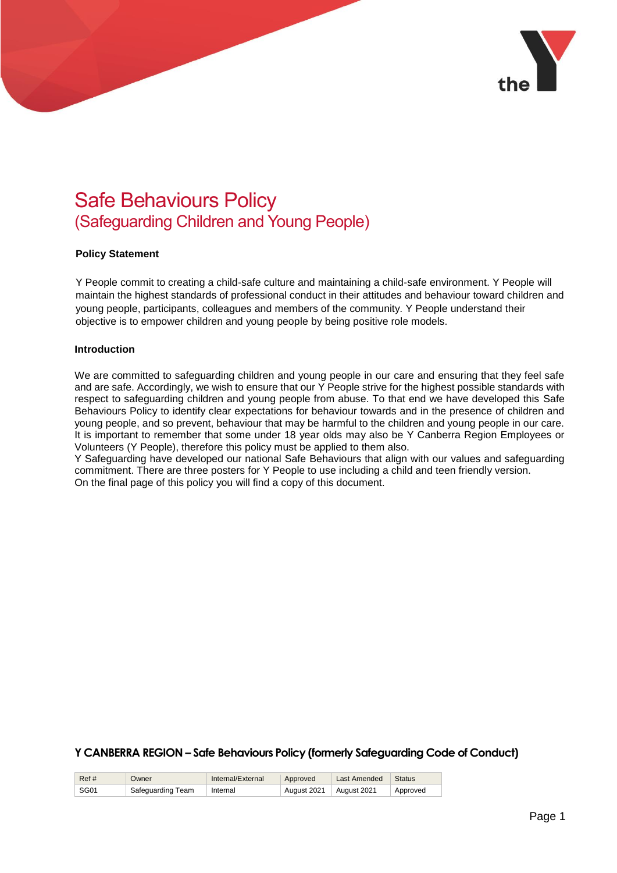

# Safe Behaviours Policy (Safeguarding Children and Young People)

## **Policy Statement**

Y People commit to creating a child-safe culture and maintaining a child-safe environment. Y People will maintain the highest standards of professional conduct in their attitudes and behaviour toward children and young people, participants, colleagues and members of the community. Y People understand their objective is to empower children and young people by being positive role models.

#### **Introduction**

We are committed to safeguarding children and young people in our care and ensuring that they feel safe and are safe. Accordingly, we wish to ensure that our Y People strive for the highest possible standards with respect to safeguarding children and young people from abuse. To that end we have developed this Safe Behaviours Policy to identify clear expectations for behaviour towards and in the presence of children and young people, and so prevent, behaviour that may be harmful to the children and young people in our care. It is important to remember that some under 18 year olds may also be Y Canberra Region Employees or Volunteers (Y People), therefore this policy must be applied to them also.

Y Safeguarding have developed our national Safe Behaviours that align with our values and safeguarding commitment. There are three posters for Y People to use including a child and teen friendly version. On the final page of this policy you will find a copy of this document.

| Ref# | Owner             | Internal/External | Approved    | Last Amended | <b>Status</b> |
|------|-------------------|-------------------|-------------|--------------|---------------|
| SG01 | Safequarding Team | Internal          | August 2021 | August 2021  | Approved      |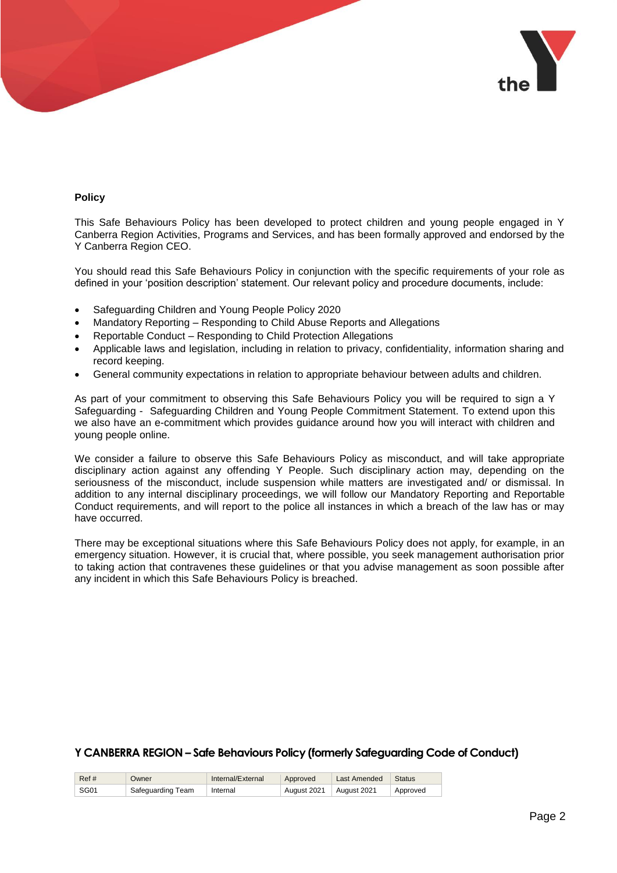

## **Policy**

This Safe Behaviours Policy has been developed to protect children and young people engaged in Y Canberra Region Activities, Programs and Services, and has been formally approved and endorsed by the Y Canberra Region CEO.

You should read this Safe Behaviours Policy in conjunction with the specific requirements of your role as defined in your 'position description' statement. Our relevant policy and procedure documents, include:

- Safeguarding Children and Young People Policy 2020
- Mandatory Reporting Responding to Child Abuse Reports and Allegations
- Reportable Conduct Responding to Child Protection Allegations
- Applicable laws and legislation, including in relation to privacy, confidentiality, information sharing and record keeping.
- General community expectations in relation to appropriate behaviour between adults and children.

As part of your commitment to observing this Safe Behaviours Policy you will be required to sign a Y Safeguarding - Safeguarding Children and Young People Commitment Statement. To extend upon this we also have an e-commitment which provides guidance around how you will interact with children and young people online.

We consider a failure to observe this Safe Behaviours Policy as misconduct, and will take appropriate disciplinary action against any offending Y People. Such disciplinary action may, depending on the seriousness of the misconduct, include suspension while matters are investigated and/ or dismissal. In addition to any internal disciplinary proceedings, we will follow our Mandatory Reporting and Reportable Conduct requirements, and will report to the police all instances in which a breach of the law has or may have occurred.

There may be exceptional situations where this Safe Behaviours Policy does not apply, for example, in an emergency situation. However, it is crucial that, where possible, you seek management authorisation prior to taking action that contravenes these guidelines or that you advise management as soon possible after any incident in which this Safe Behaviours Policy is breached.

| Ref# | Owner             | Internal/External | Approved    | Last Amended | Status   |
|------|-------------------|-------------------|-------------|--------------|----------|
| SG01 | Safeguarding Team | Internal          | August 2021 | August 2021  | Approved |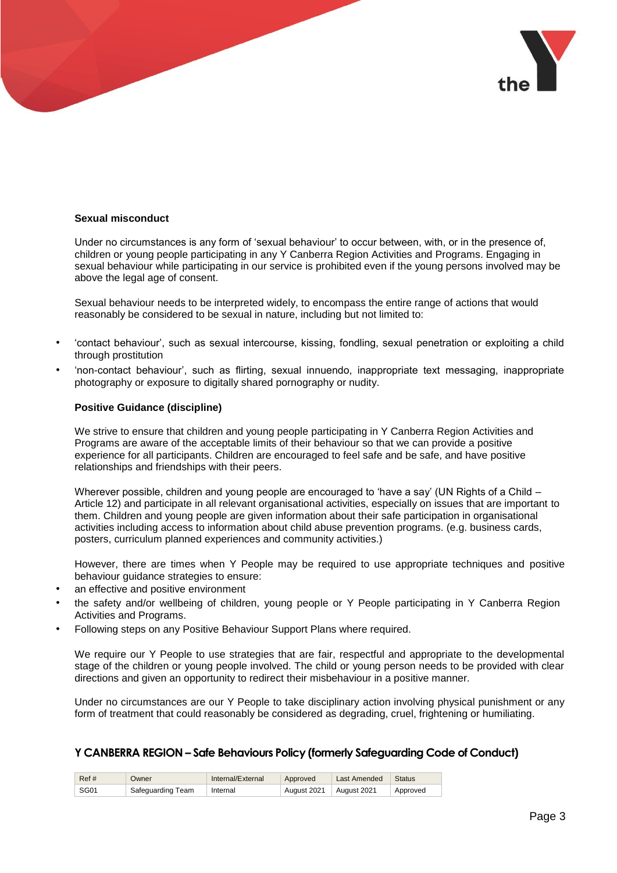

## **Sexual misconduct**

Under no circumstances is any form of 'sexual behaviour' to occur between, with, or in the presence of, children or young people participating in any Y Canberra Region Activities and Programs. Engaging in sexual behaviour while participating in our service is prohibited even if the young persons involved may be above the legal age of consent.

Sexual behaviour needs to be interpreted widely, to encompass the entire range of actions that would reasonably be considered to be sexual in nature, including but not limited to:

- 'contact behaviour', such as sexual intercourse, kissing, fondling, sexual penetration or exploiting a child through prostitution
- 'non-contact behaviour', such as flirting, sexual innuendo, inappropriate text messaging, inappropriate photography or exposure to digitally shared pornography or nudity.

#### **Positive Guidance (discipline)**

We strive to ensure that children and young people participating in Y Canberra Region Activities and Programs are aware of the acceptable limits of their behaviour so that we can provide a positive experience for all participants. Children are encouraged to feel safe and be safe, and have positive relationships and friendships with their peers.

Wherever possible, children and young people are encouraged to 'have a say' (UN Rights of a Child – Article 12) and participate in all relevant organisational activities, especially on issues that are important to them. Children and young people are given information about their safe participation in organisational activities including access to information about child abuse prevention programs. (e.g. business cards, posters, curriculum planned experiences and community activities.)

However, there are times when Y People may be required to use appropriate techniques and positive behaviour guidance strategies to ensure:

- an effective and positive environment
- the safety and/or wellbeing of children, young people or Y People participating in Y Canberra Region Activities and Programs.
- Following steps on any Positive Behaviour Support Plans where required.

We require our Y People to use strategies that are fair, respectful and appropriate to the developmental stage of the children or young people involved. The child or young person needs to be provided with clear directions and given an opportunity to redirect their misbehaviour in a positive manner.

Under no circumstances are our Y People to take disciplinary action involving physical punishment or any form of treatment that could reasonably be considered as degrading, cruel, frightening or humiliating.

| Ref# | Owner             | Internal/External | Approved    | Last Amended | <b>Status</b> |
|------|-------------------|-------------------|-------------|--------------|---------------|
| SG01 | Safequarding Team | Internal          | August 2021 | August 2021  | Approved      |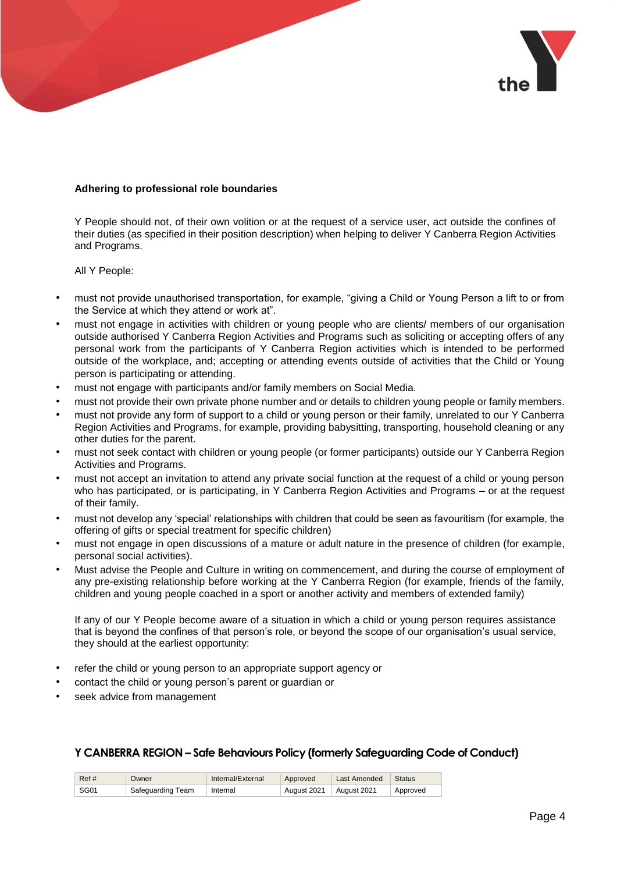

## **Adhering to professional role boundaries**

Y People should not, of their own volition or at the request of a service user, act outside the confines of their duties (as specified in their position description) when helping to deliver Y Canberra Region Activities and Programs.

#### All Y People:

- must not provide unauthorised transportation, for example, "giving a Child or Young Person a lift to or from the Service at which they attend or work at".
- must not engage in activities with children or young people who are clients/ members of our organisation outside authorised Y Canberra Region Activities and Programs such as soliciting or accepting offers of any personal work from the participants of Y Canberra Region activities which is intended to be performed outside of the workplace, and; accepting or attending events outside of activities that the Child or Young person is participating or attending.
- must not engage with participants and/or family members on Social Media.
- must not provide their own private phone number and or details to children young people or family members.
- must not provide any form of support to a child or young person or their family, unrelated to our Y Canberra Region Activities and Programs, for example, providing babysitting, transporting, household cleaning or any other duties for the parent.
- must not seek contact with children or young people (or former participants) outside our Y Canberra Region Activities and Programs.
- must not accept an invitation to attend any private social function at the request of a child or young person who has participated, or is participating, in Y Canberra Region Activities and Programs – or at the request of their family.
- must not develop any 'special' relationships with children that could be seen as favouritism (for example, the offering of gifts or special treatment for specific children)
- must not engage in open discussions of a mature or adult nature in the presence of children (for example, personal social activities).
- Must advise the People and Culture in writing on commencement, and during the course of employment of any pre-existing relationship before working at the Y Canberra Region (for example, friends of the family, children and young people coached in a sport or another activity and members of extended family)

If any of our Y People become aware of a situation in which a child or young person requires assistance that is beyond the confines of that person's role, or beyond the scope of our organisation's usual service, they should at the earliest opportunity:

- refer the child or young person to an appropriate support agency or
- contact the child or young person's parent or guardian or
- seek advice from management

| Ref# | Owner             | Internal/External | Approved    | Last Amended | <b>Status</b> |
|------|-------------------|-------------------|-------------|--------------|---------------|
| SG01 | Safequarding Team | Internal          | August 2021 | August 2021  | Approved      |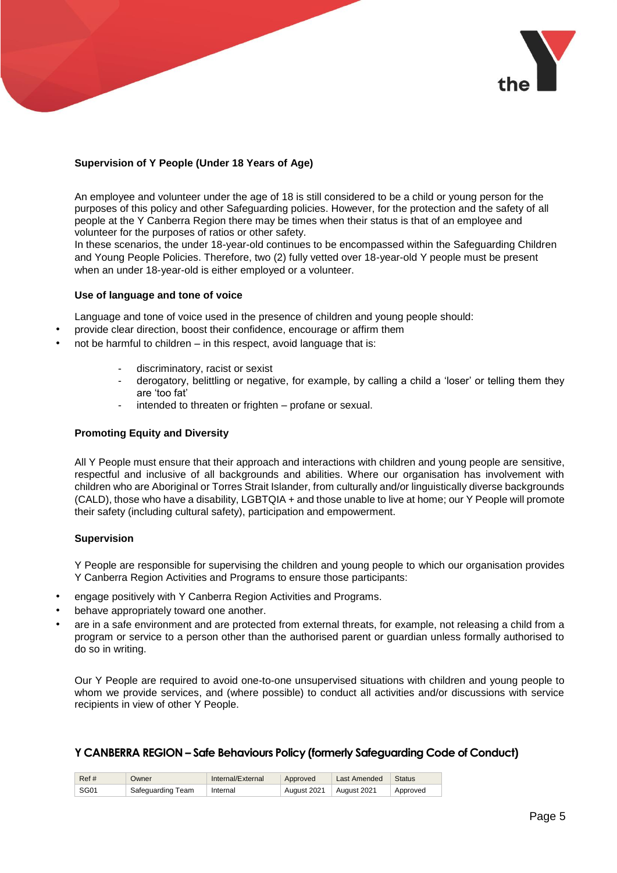

# **Supervision of Y People (Under 18 Years of Age)**

An employee and volunteer under the age of 18 is still considered to be a child or young person for the purposes of this policy and other Safeguarding policies. However, for the protection and the safety of all people at the Y Canberra Region there may be times when their status is that of an employee and volunteer for the purposes of ratios or other safety.

In these scenarios, the under 18-year-old continues to be encompassed within the Safeguarding Children and Young People Policies. Therefore, two (2) fully vetted over 18-year-old Y people must be present when an under 18-year-old is either employed or a volunteer.

## **Use of language and tone of voice**

Language and tone of voice used in the presence of children and young people should:

- provide clear direction, boost their confidence, encourage or affirm them
- not be harmful to children  $-$  in this respect, avoid language that is:
	- discriminatory, racist or sexist
	- derogatory, belittling or negative, for example, by calling a child a 'loser' or telling them they are 'too fat'
	- intended to threaten or frighten profane or sexual.

## **Promoting Equity and Diversity**

All Y People must ensure that their approach and interactions with children and young people are sensitive, respectful and inclusive of all backgrounds and abilities. Where our organisation has involvement with children who are Aboriginal or Torres Strait Islander, from culturally and/or linguistically diverse backgrounds (CALD), those who have a disability, LGBTQIA + and those unable to live at home; our Y People will promote their safety (including cultural safety), participation and empowerment.

#### **Supervision**

Y People are responsible for supervising the children and young people to which our organisation provides Y Canberra Region Activities and Programs to ensure those participants:

- engage positively with Y Canberra Region Activities and Programs.
- behave appropriately toward one another.
- are in a safe environment and are protected from external threats, for example, not releasing a child from a program or service to a person other than the authorised parent or guardian unless formally authorised to do so in writing.

Our Y People are required to avoid one-to-one unsupervised situations with children and young people to whom we provide services, and (where possible) to conduct all activities and/or discussions with service recipients in view of other Y People.

| Ref# | Owner             | Internal/External | Approved    | Last Amended | Status   |
|------|-------------------|-------------------|-------------|--------------|----------|
| SG01 | Safequarding Team | Internal          | August 2021 | August 2021  | Approved |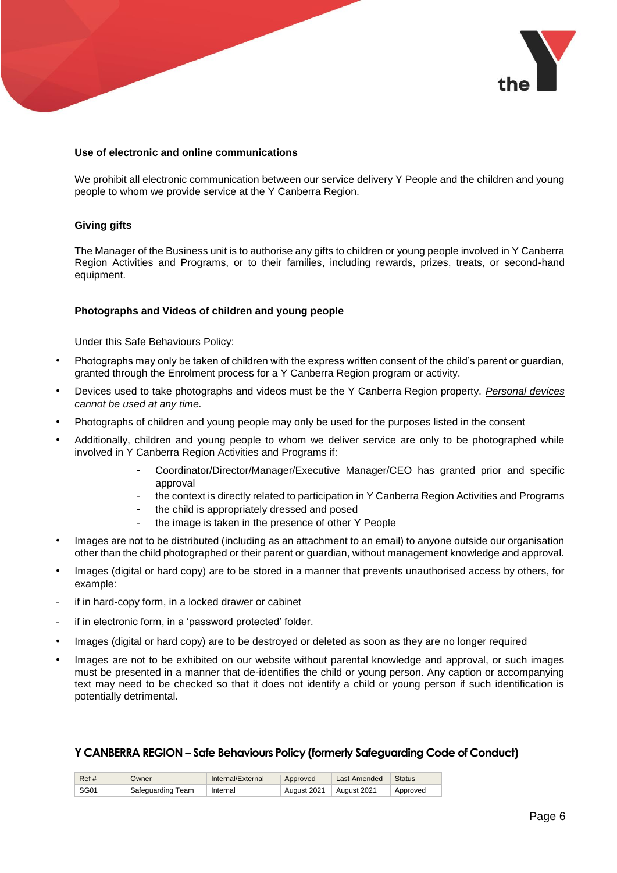

## **Use of electronic and online communications**

We prohibit all electronic communication between our service delivery Y People and the children and young people to whom we provide service at the Y Canberra Region.

## **Giving gifts**

The Manager of the Business unit is to authorise any gifts to children or young people involved in Y Canberra Region Activities and Programs, or to their families, including rewards, prizes, treats, or second-hand equipment.

#### **Photographs and Videos of children and young people**

Under this Safe Behaviours Policy:

- Photographs may only be taken of children with the express written consent of the child's parent or guardian, granted through the Enrolment process for a Y Canberra Region program or activity.
- Devices used to take photographs and videos must be the Y Canberra Region property. *Personal devices cannot be used at any time.*
- Photographs of children and young people may only be used for the purposes listed in the consent
- Additionally, children and young people to whom we deliver service are only to be photographed while involved in Y Canberra Region Activities and Programs if:
	- Coordinator/Director/Manager/Executive Manager/CEO has granted prior and specific approval
	- the context is directly related to participation in Y Canberra Region Activities and Programs
	- the child is appropriately dressed and posed
	- the image is taken in the presence of other Y People
- Images are not to be distributed (including as an attachment to an email) to anyone outside our organisation other than the child photographed or their parent or guardian, without management knowledge and approval.
- Images (digital or hard copy) are to be stored in a manner that prevents unauthorised access by others, for example:
- if in hard-copy form, in a locked drawer or cabinet
- if in electronic form, in a 'password protected' folder.
- Images (digital or hard copy) are to be destroyed or deleted as soon as they are no longer required
- Images are not to be exhibited on our website without parental knowledge and approval, or such images must be presented in a manner that de-identifies the child or young person. Any caption or accompanying text may need to be checked so that it does not identify a child or young person if such identification is potentially detrimental.

| Ref#             | Owner             | Internal/External | Approved    | Last Amended | <b>Status</b> |
|------------------|-------------------|-------------------|-------------|--------------|---------------|
| SG <sub>01</sub> | Safequarding Team | Internal          | August 2021 | August 2021  | Approved      |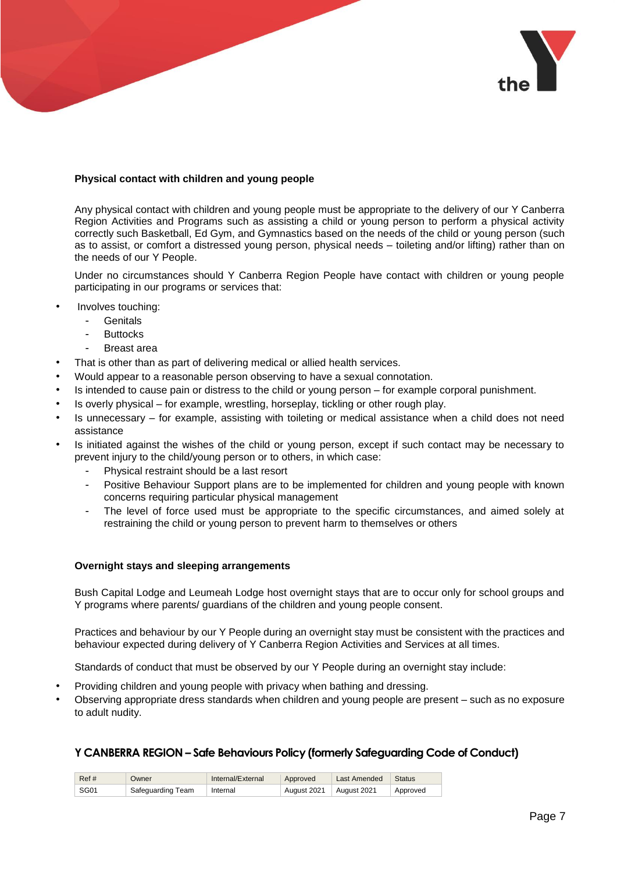

## **Physical contact with children and young people**

Any physical contact with children and young people must be appropriate to the delivery of our Y Canberra Region Activities and Programs such as assisting a child or young person to perform a physical activity correctly such Basketball, Ed Gym, and Gymnastics based on the needs of the child or young person (such as to assist, or comfort a distressed young person, physical needs – toileting and/or lifting) rather than on the needs of our Y People.

Under no circumstances should Y Canberra Region People have contact with children or young people participating in our programs or services that:

- Involves touching:
	- **Genitals** 
		- **Buttocks**
		- Breast area
- That is other than as part of delivering medical or allied health services.
- Would appear to a reasonable person observing to have a sexual connotation.
- Is intended to cause pain or distress to the child or young person for example corporal punishment.
- Is overly physical for example, wrestling, horseplay, tickling or other rough play.
- Is unnecessary for example, assisting with toileting or medical assistance when a child does not need assistance
- Is initiated against the wishes of the child or young person, except if such contact may be necessary to prevent injury to the child/young person or to others, in which case:
	- Physical restraint should be a last resort
	- Positive Behaviour Support plans are to be implemented for children and young people with known concerns requiring particular physical management
	- The level of force used must be appropriate to the specific circumstances, and aimed solely at restraining the child or young person to prevent harm to themselves or others

#### **Overnight stays and sleeping arrangements**

Bush Capital Lodge and Leumeah Lodge host overnight stays that are to occur only for school groups and Y programs where parents/ guardians of the children and young people consent.

Practices and behaviour by our Y People during an overnight stay must be consistent with the practices and behaviour expected during delivery of Y Canberra Region Activities and Services at all times.

Standards of conduct that must be observed by our Y People during an overnight stay include:

- Providing children and young people with privacy when bathing and dressing.
- Observing appropriate dress standards when children and young people are present such as no exposure to adult nudity.

| Ref#        | Owner             | Internal/External | Approved    | Last Amended | Status   |
|-------------|-------------------|-------------------|-------------|--------------|----------|
| <b>SG01</b> | Safeguarding Team | Internal          | August 2021 | August 2021  | Approved |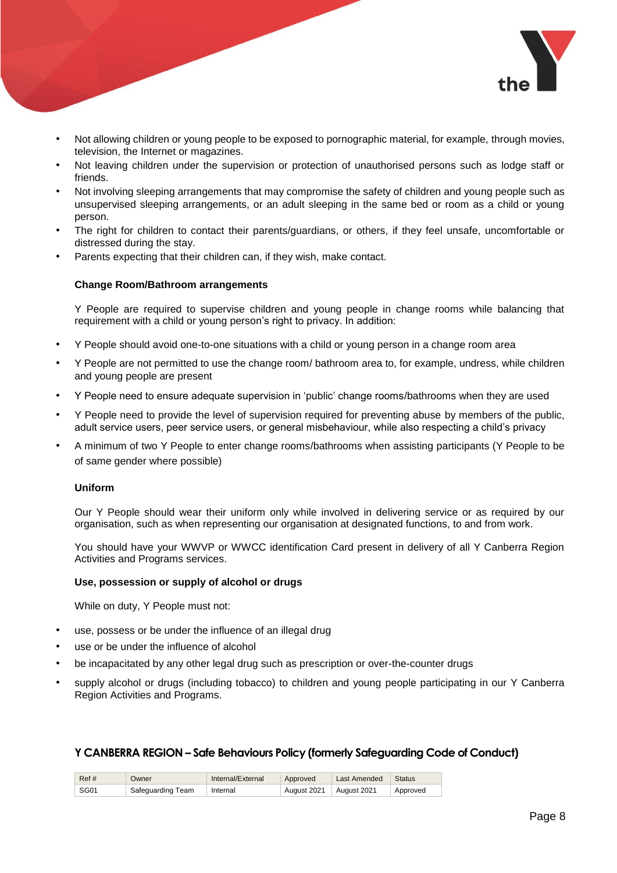

- Not allowing children or young people to be exposed to pornographic material, for example, through movies, television, the Internet or magazines.
- Not leaving children under the supervision or protection of unauthorised persons such as lodge staff or friends.
- Not involving sleeping arrangements that may compromise the safety of children and young people such as unsupervised sleeping arrangements, or an adult sleeping in the same bed or room as a child or young person.
- The right for children to contact their parents/guardians, or others, if they feel unsafe, uncomfortable or distressed during the stay.
- Parents expecting that their children can, if they wish, make contact.

#### **Change Room/Bathroom arrangements**

Y People are required to supervise children and young people in change rooms while balancing that requirement with a child or young person's right to privacy. In addition:

- Y People should avoid one-to-one situations with a child or young person in a change room area
- Y People are not permitted to use the change room/ bathroom area to, for example, undress, while children and young people are present
- Y People need to ensure adequate supervision in 'public' change rooms/bathrooms when they are used
- Y People need to provide the level of supervision required for preventing abuse by members of the public, adult service users, peer service users, or general misbehaviour, while also respecting a child's privacy
- A minimum of two Y People to enter change rooms/bathrooms when assisting participants (Y People to be of same gender where possible)

#### **Uniform**

Our Y People should wear their uniform only while involved in delivering service or as required by our organisation, such as when representing our organisation at designated functions, to and from work.

You should have your WWVP or WWCC identification Card present in delivery of all Y Canberra Region Activities and Programs services.

#### **Use, possession or supply of alcohol or drugs**

While on duty, Y People must not:

- use, possess or be under the influence of an illegal drug
- use or be under the influence of alcohol
- be incapacitated by any other legal drug such as prescription or over-the-counter drugs
- supply alcohol or drugs (including tobacco) to children and young people participating in our Y Canberra Region Activities and Programs.

| Ref# | Owner             | Internal/External | Approved    | Last Amended | Status   |
|------|-------------------|-------------------|-------------|--------------|----------|
| SG01 | Safeguarding Team | Internal          | August 2021 | August 2021  | Approved |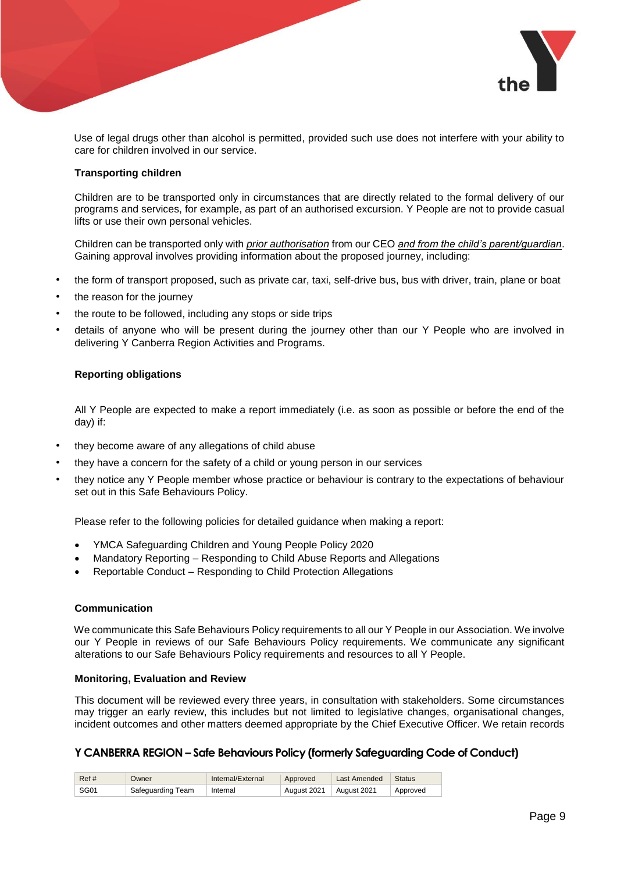

Use of legal drugs other than alcohol is permitted, provided such use does not interfere with your ability to care for children involved in our service.

### **Transporting children**

Children are to be transported only in circumstances that are directly related to the formal delivery of our programs and services, for example, as part of an authorised excursion. Y People are not to provide casual lifts or use their own personal vehicles.

Children can be transported only with *prior authorisation* from our CEO *and from the child's parent/guardian*. Gaining approval involves providing information about the proposed journey, including:

- the form of transport proposed, such as private car, taxi, self-drive bus, bus with driver, train, plane or boat
- the reason for the journey
- the route to be followed, including any stops or side trips
- details of anyone who will be present during the journey other than our Y People who are involved in delivering Y Canberra Region Activities and Programs.

## **Reporting obligations**

All Y People are expected to make a report immediately (i.e. as soon as possible or before the end of the day) if:

- they become aware of any allegations of child abuse
- they have a concern for the safety of a child or young person in our services
- they notice any Y People member whose practice or behaviour is contrary to the expectations of behaviour set out in this Safe Behaviours Policy.

Please refer to the following policies for detailed guidance when making a report:

- YMCA Safeguarding Children and Young People Policy 2020
- Mandatory Reporting Responding to Child Abuse Reports and Allegations
- Reportable Conduct Responding to Child Protection Allegations

# **Communication**

We communicate this Safe Behaviours Policy requirements to all our Y People in our Association. We involve our Y People in reviews of our Safe Behaviours Policy requirements. We communicate any significant alterations to our Safe Behaviours Policy requirements and resources to all Y People.

#### **Monitoring, Evaluation and Review**

This document will be reviewed every three years, in consultation with stakeholders. Some circumstances may trigger an early review, this includes but not limited to legislative changes, organisational changes, incident outcomes and other matters deemed appropriate by the Chief Executive Officer. We retain records

| Ref# | <b>Jwner</b>      | Internal/External | Approved    | <b>Last Amended</b> | <b>Status</b> |
|------|-------------------|-------------------|-------------|---------------------|---------------|
| SG01 | Safeguarding Team | Internal          | August 2021 | August 2021         | Approved      |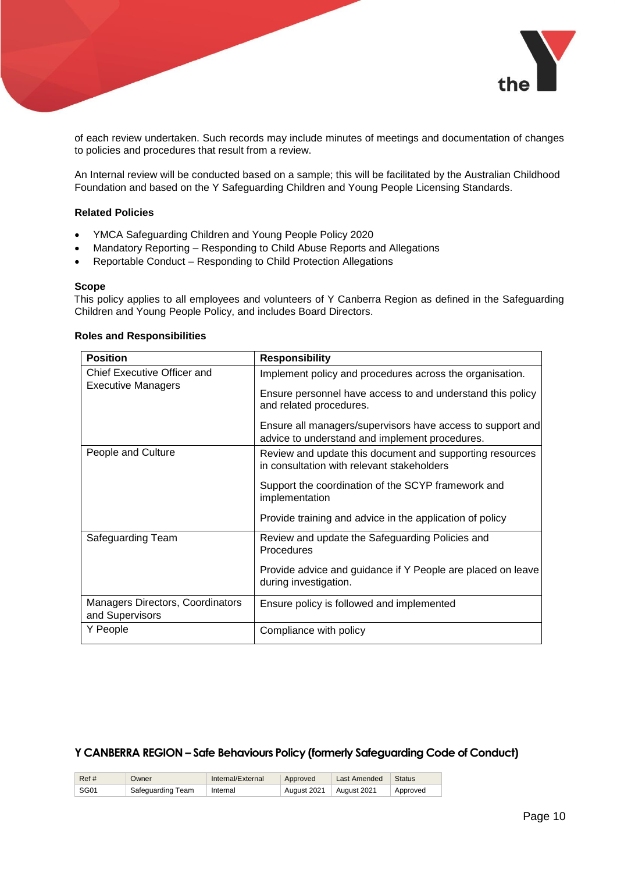

of each review undertaken. Such records may include minutes of meetings and documentation of changes to policies and procedures that result from a review.

An Internal review will be conducted based on a sample; this will be facilitated by the Australian Childhood Foundation and based on the Y Safeguarding Children and Young People Licensing Standards.

## **Related Policies**

- YMCA Safeguarding Children and Young People Policy 2020
- Mandatory Reporting Responding to Child Abuse Reports and Allegations
- Reportable Conduct Responding to Child Protection Allegations

#### **Scope**

This policy applies to all employees and volunteers of Y Canberra Region as defined in the Safeguarding Children and Young People Policy, and includes Board Directors.

| <b>Position</b>                                     | <b>Responsibility</b>                                                                                        |
|-----------------------------------------------------|--------------------------------------------------------------------------------------------------------------|
| <b>Chief Executive Officer and</b>                  | Implement policy and procedures across the organisation.                                                     |
| <b>Executive Managers</b>                           | Ensure personnel have access to and understand this policy<br>and related procedures.                        |
|                                                     | Ensure all managers/supervisors have access to support and<br>advice to understand and implement procedures. |
| People and Culture                                  | Review and update this document and supporting resources<br>in consultation with relevant stakeholders       |
|                                                     | Support the coordination of the SCYP framework and<br>implementation                                         |
|                                                     | Provide training and advice in the application of policy                                                     |
| Safeguarding Team                                   | Review and update the Safeguarding Policies and<br>Procedures                                                |
|                                                     | Provide advice and guidance if Y People are placed on leave<br>during investigation.                         |
| Managers Directors, Coordinators<br>and Supervisors | Ensure policy is followed and implemented                                                                    |
| Y People                                            | Compliance with policy                                                                                       |

#### **Roles and Responsibilities**

| Ref# | Owner             | Internal/External | Approved    | Last Amended | Status   |
|------|-------------------|-------------------|-------------|--------------|----------|
| SG01 | Safequarding Team | Internal          | August 2021 | August 2021  | Approved |